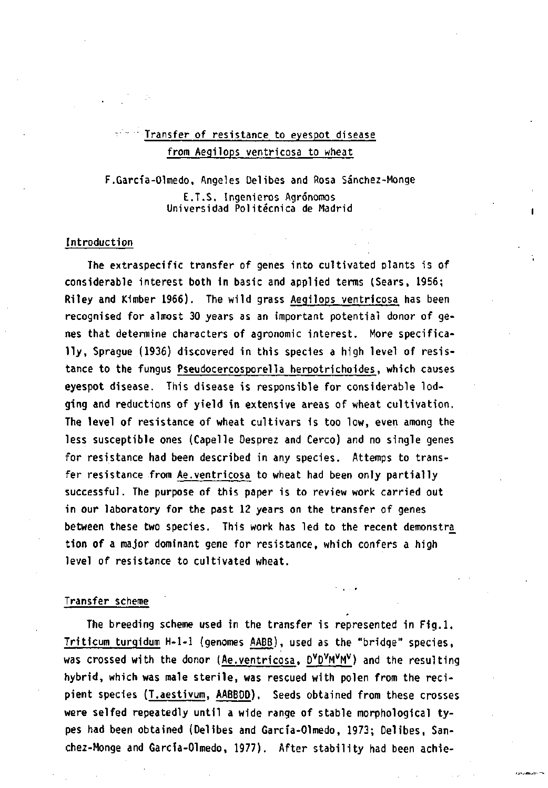## **Transfer of resistance to eyespot disease from Aegilops ventricosa to wheat**

**F.García-Olmedo, Angeles Delibes and Rosa Sánchez-Monge E.T.S. Ingenieros Agrónomos Universidad Politécnica de Madrid** 

## **Introduction**

**The extraspecific transfer of genes into cultivated plants is of considerable interest both in basic and applied terms (Sears, 1956; Riley and Kimber 1966). The wild grass Aegilops ventricosa has been recognised for almost 30 years as an important potential donor of genes that determine characters of agronomic interest. More specifically, Sprague (1936) discovered in this species a high level of resistance to the fungus Pseudocercosporel1 a herpotrichoides, which causes eyespot disease. This disease is responsible for considerable lodging and reductions of yield in extensive áreas of wheat cultivation. The level of resistance of wheat cultivars is too low, even among the less susceptible ones (Capelle Desprez and Cerco) and no single genes for resistance had been described in any species. Attemps to transfer resistance from Ae.ventricosa to wheat had been only partially successful. The purpose of this paper is to review work carried out in our laboratory for the past 12 years on the transfer of genes between these two species. This work has led to the recent demonstre^ tion of a major dominant gene for resistance, which confers a high level of resistance to cultivated wheat.** 

## **Transfer scheme**

**The breeding scheme used in the transfer is represented in Fig.l. Triticum turgidum H-l-1 (genomes AABB), used as the "bridge" species, was crossed with the donor (Ae.ventricosa, D<sup>V</sup> D V M V M <sup>V</sup> ) and the resulting hybrid, which was male sterile, was rescued with polen from the recipient species (T.aestivum, AABBDD). Seeds obtained from these crosses were selfed repeatedly until a wide range of stable morphological types had been obtained (Delibes and García-Olmedo, 1973; Delibes, Sanchez-Monge and García-Olmedo, 1977). After stability had been achie-**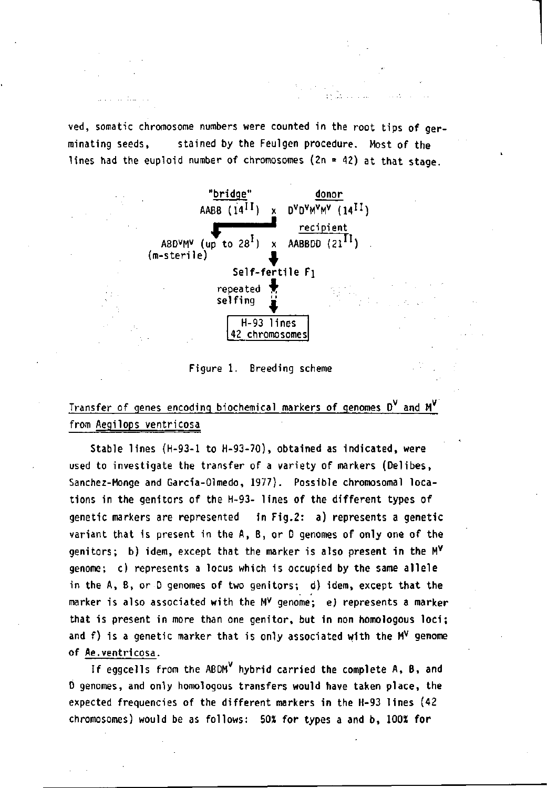**ved, somatic chromosome numbers were counted in the root tips of germinating seeds, stained by the Feulgen procedure. Most of the lines had the euploid number of chromosomes (2n = 42) at that stage.** 



**Figure 1. Breeding scheme** 

# **Iransfer of genes encoding biochemical markers of genomes D<sup>V</sup> and M<sup>V</sup> from Aegilops ventricosa**

**Stable lines (H-93-1 to H-93-70), obtained as indicated, were used to investígate the transfer of a variety of markers (Delibes, Sanchez-Monge and García-Olmedo, 1977). Possible chromosomal locations in the genitors of the H-93- lines of the different types of genetic markers are represented in Fig.2: a) represents a genetic variant that is present in the A, B, or D genomes of only one of the genitors; b) idem, except that the marker is also present in the M<sup>v</sup> genome; c) represents a locus which is occupied by the same alíele in the A, B, or D genomes of two genitors; d) idem, except that the marker is also associated with the M<sup>v</sup> genome; e) represents a marker**  that is present in more than one genitor, but in non homologous loci; **and f) is a genetic marker that is only associated with the M<sup>v</sup> genome of Ae.ventricosa.** 

**If eggcells from the ABDM hybrid carried the complete A, B, and D genomes, and only homologous transfers would nave taken place, the expected frequencies of the different markers in the H-93 lines (42 chromosomes) would be as follows: 50% for types a and b, 100% for**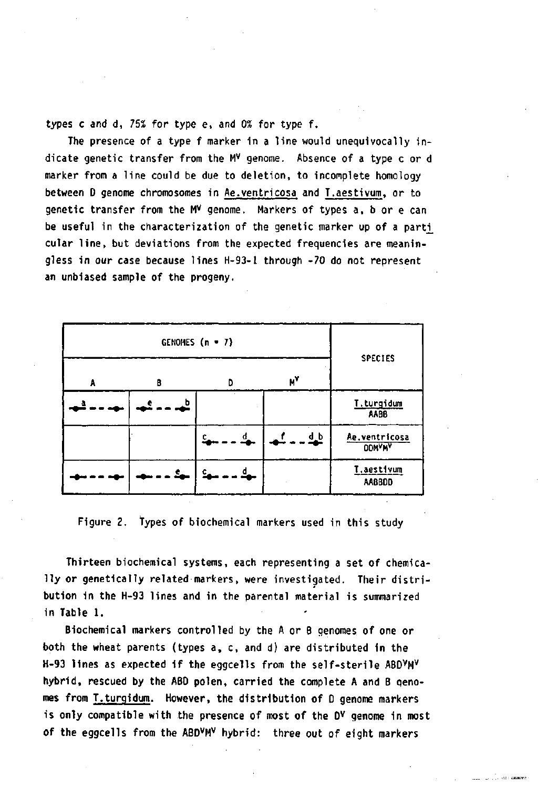**types c and d, 75% for type e, and 0% for type f.** 

**The presence of a type f marker in a line would unequivocally indicate genetic transfer from the M<sup>v</sup> genome. Absence of a type c or d marker from a line could be due to deletion, to incomplete homology between D genome chromosomes in Ae.ventricosa and T.aestivum, or to genetic transfer from the M<sup>v</sup> genome. Markers of types a, b or e can be useful in the characterization of the genetic marker up of a parti\_ cular line, but deviations from the expected frequencies are meaningless in our case because lines H-93-1 through -70 do not represent an unbiased sample of the progeny.** 

|   | <b>SPECIES</b> |    |            |                                |
|---|----------------|----|------------|--------------------------------|
| A | В              | D  | $M^{\vee}$ |                                |
|   | $\mathbf{b}$   |    |            | T.turgidum<br><b>AABB</b>      |
|   |                | d, | $d_b$      | Ae.ventricosa<br><b>DDMYMY</b> |
|   |                |    |            | T.aestivum<br>AABBOD           |

**Figure 2. Types of biochemical markers used in this study** 

**Thirteen biochemical systems, each representing a set of chemically or genetically related markers, were investigated. Their distribution in the H-93 lines and in the parental material is summarized in Table 1.** 

**Biochemical markers controlled by the A or B genomes of one or both the wheat parents (types a, c, and d) are distributed in the H-93 lines as expected if the eggcells from the self-sterile ABD<sup>V</sup>M V hybrid, rescued by the ABD polen, carried the complete A and B qenomes from T.turgidum. However, the distrlbution of D genome markers is only compatible with the presence of most of the D<sup>v</sup> genome in most of the eggcells from the ABD<sup>V</sup>M <sup>V</sup> hybrid: three out of eight markers**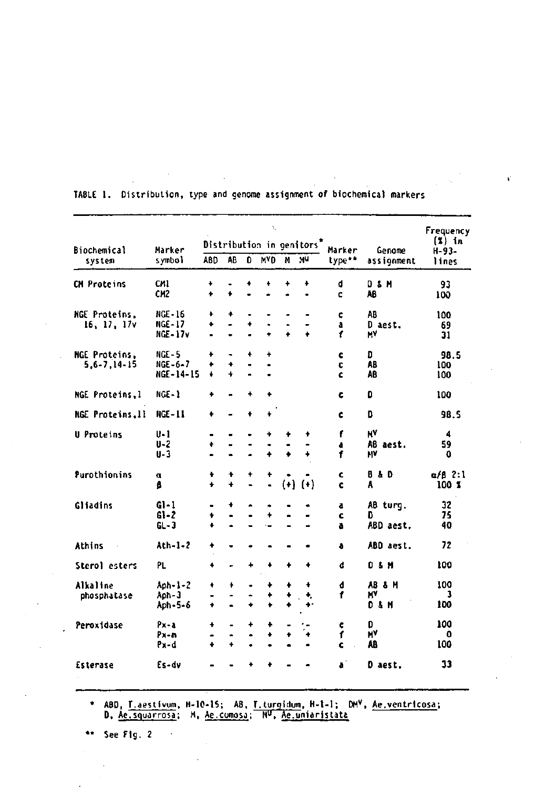|                     |                              |                      |                      |                      |                  |   |                                       |        |                  | Frequency              |
|---------------------|------------------------------|----------------------|----------------------|----------------------|------------------|---|---------------------------------------|--------|------------------|------------------------|
| Biochemical         | Marker                       |                      |                      |                      |                  |   | Distribution in genitors <sup>7</sup> | Marker | Genome           | $(2)$ in<br>$H - 93 -$ |
| system              | symbol                       | ABD                  | <b>AB</b>            | 0                    | <b>MAD</b>       | М | мu                                    | type** | assignment       | lines                  |
| <b>CM Proteins</b>  | CM1                          | ۰                    |                      | ٠                    |                  | ۰ | ۰                                     | d      | D & M            | 93                     |
|                     | CM <sub>2</sub>              |                      | 4                    |                      |                  |   |                                       | Ċ      | AB               | 100                    |
| NGE Proteins,       | <b>NGE-16</b>                | ۰                    | ۰                    |                      |                  |   |                                       | ¢      | AB               | 100                    |
| 16, 17, 17v         | <b>NGE-17</b><br>$NGE - 17v$ | ۰                    | $\ddot{\phantom{0}}$ | ٠                    | ٠<br>٠           |   | ÷                                     | a<br>f | D aest.<br>H٧    | 69<br>31               |
|                     |                              |                      |                      |                      |                  |   |                                       |        |                  |                        |
| NGE Proteins,       | $NGE - 5$                    | ۰                    |                      | ۰                    | ŧ                |   |                                       | C      | D                | 98.5                   |
| $5, 6 - 7, 14 - 15$ | NGE-6-7                      | $\ddot{\phantom{1}}$ | ۰                    | ٠                    |                  |   |                                       | ¢      | AB.              | 100                    |
|                     | NGE-14-15                    | ٠                    | $\ddot{}$            |                      |                  |   |                                       | Ċ      | AB               | 100                    |
| NGE Proteins, 1     | $NGE-1$                      | ۰                    |                      |                      |                  |   |                                       | ¢      | D                | 100                    |
| NGE Proteins, 11    | $NGE - 11$                   | ۰                    |                      |                      |                  |   |                                       | ¢      | D                | 98.5                   |
| U Proteins          | U- 1                         | $\bullet$            |                      |                      |                  |   |                                       | f      | H٧               | 4                      |
|                     | $U - 2$                      | ÷                    | $\bullet$            | ٠                    |                  |   |                                       | à      | A8 aest.         | 59                     |
|                     | $U - 3$                      | ÷                    | L.                   |                      | ÷                |   | ÷.                                    | f      | M٧               | O                      |
| Purothionins        | α                            | ۰                    | ۰                    | ۰                    |                  |   |                                       | ¢      | 8 & D            | $\alpha/\beta$ 2:1     |
|                     | ß                            | ÷                    | ÷                    |                      | l.               |   | $(+)$ $(+)$                           | ¢      | A                | $100 \t{t}$            |
| Gliadins            | $G1 - 1$                     |                      |                      |                      |                  |   |                                       | a      | AB turg.         | 32                     |
|                     | $61 - 2$                     | ۰                    | $\blacksquare$       | $\ddot{\phantom{1}}$ | $\ddotmark$      |   | $\blacksquare$                        | C      | n                | 75                     |
|                     | $GL-3$                       | ÷                    |                      |                      |                  |   |                                       | à      | ABD aest.        | 40                     |
| Athins              | $Ath-1-2$                    | ۰                    |                      |                      |                  |   |                                       | a      | ABD aest.        | 72                     |
| Sterol esters       | PL                           | ÷                    |                      | ۰                    |                  | ÷ | ÷                                     | đ      | 0 & M            | 100                    |
| Alkaline            | $Aph-1-2$                    | ۰                    | ۰                    |                      |                  |   | ÷                                     | đ      | AB & M           | 100                    |
| phosphatase         | Aph-3                        |                      |                      |                      | ŧ                |   | ÷,                                    | f      | M٧               | 3                      |
|                     | Aph-5-6                      | $\ddotmark$          |                      |                      |                  |   |                                       |        | <b>D &amp; M</b> | 100                    |
| Peroxidase          | Px-a                         | $\ddot{\phantom{1}}$ |                      | ۰                    | ۰                |   |                                       | ¢      | D                | 100                    |
|                     | Px-m                         | ۰                    | ÷                    | ٠                    | $\ddot{\bullet}$ | ÷ | $\ddot{\phantom{1}}$                  | ſ      | H٧               | 0                      |
|                     | Px-d                         | à.                   | $\ddot{\phantom{0}}$ |                      |                  |   |                                       | c      | AB               | 100                    |
| Esterase            | Es-dv                        |                      |                      |                      |                  |   |                                       | ă      | D aest.          | 33                     |

TABLE 1. Distribution, type and genome assignment of biochemical markers

 $\sim$ 

\* ABD, T.aestivum, H-10-15; AB, T.turgidum, H-1-1; DMV, Ae.ventricosa;<br>D. Ae.squarrosa; M. Ae.comosa; M<sup>U</sup>, Ae.uniaristata

\*\* See Fig. 2  $\rightarrow$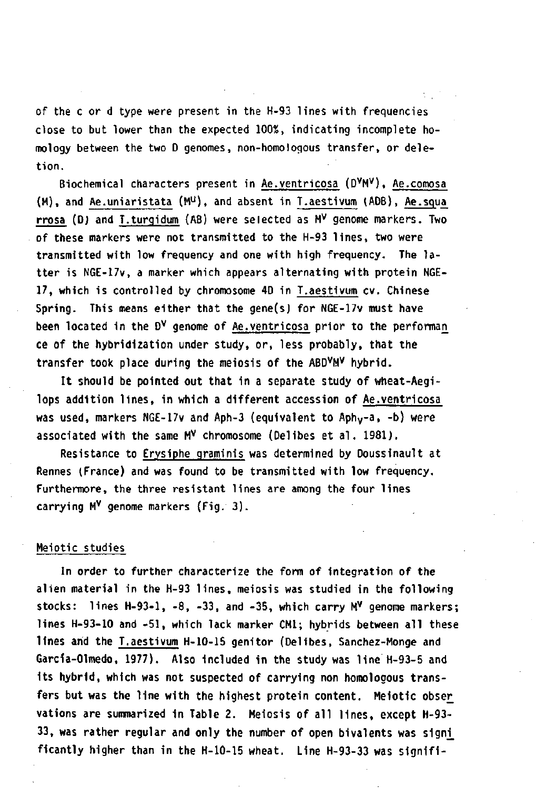**of the c or d type were present in the H-93 lines with frequencies cióse to but lower than the expected 100%, indicating incomplete homology between the two D genomes, non-homo Iogous transfer, or deletion.** 

**Biochemical characters present in Ae.ventricosa (D<sup>V</sup> M <sup>V</sup> ), Ae.comosa (M), and Ae.uniaristata (M<sup>u</sup> ), and absent in T.aestivum (ADB), Ae.squa rrosa (Dj and T.turgidum (AB) were selected as M<sup>v</sup> genome markers. Two of these markers were not transmitted to the H-93 lines, two were transmitted with low frequency and one with high frequency. The latter is NGE-17v, a marker which appears alternating with protein NGE-17, which is controlled by chromosome 4D in T.aestivum cv. Chinese Spring. This means either that the gene(s) for NGE-17v must have been located in the D<sup>v</sup> genome of Ae.ventricosa prior to the performan\_ ce of the hybridization under study, or, less probably, that the**  transfer took place during the meiosis of the ABD<sup>V</sup>M<sup>V</sup> hybrid.

**It should be pointed out that in a sepárate study of wheat-Aegilops addition lines, in which a different accession of Ae.ventricosa was used, markers NGE-17v and Aph-3 (equivalent to Aphv-a, -b) were associated with the same M<sup>v</sup> chromosome (Delibes et al. 1981),** 

**Resistance to Erysiphe graminis was determined by Doussinault at Rennes (France) and was found to be transmitted with low frequency. Furthermore, the three resistant lines are among the four lines carrying M<sup>v</sup> genome markers (Fig. 3).** 

## **Meiotic studies**

**In order to further characterize the form of integration of the**  alien material in the H-93 lines, meiosis was studied in the following **stocks: lines H-93-1, -8, -33, and -35, which carry M<sup>v</sup> genome markers; lines H-93-10 and -51, which lack marker CMl; hybrids between all these lines and the T.aestivum H-10-15 genitor (Delibes, Sanchez-Monge and García-Olmedo, 1977). Also included in the study was line H-93-5 and its hybrid, which was not suspected of carrying non homologous transfers but was the line with the highest protein content. Meiotic obser vations are summarized in Table 2. Meiosis of all lines, except H-93- 33, was rather regular and only the number of open bivalents was signi\_ ficantly higher than in the H-10-15 wheat. Line H-93-33 was signifi-**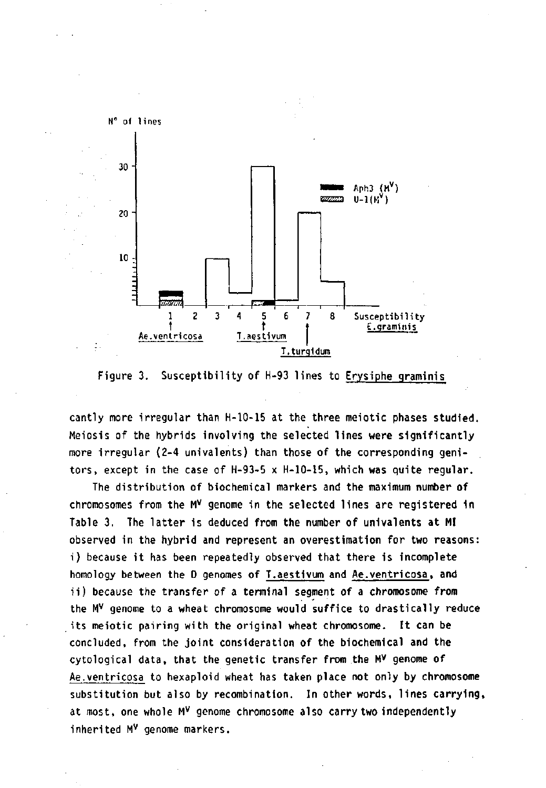

**Figure 3. Susceptibility of H-93 lines to Erysiphe graminis** 

**cantly more irregular than H-10-15 at the three meiotic phases studied. Meiosis of the hybrids involving the selected lines were significantly more irregular (2-4 univalents) than those of the corresponding genitors, except in the case of H-93-5 x H-10-15, which was quite regular.** 

**The distribution of biochemical markers and the máximum number of chromosomes from the M<sup>v</sup> genome in the selected lines are registered in Table 3. The latter is deduced from the number of univalents at MI observed in the hybrid and represent an overestimation for two reasons: i) because it has been repeatedly observed that there is incomplete homology between the D genomes of T.aestivum and Ae.ventricosa, and ii) because the transfer of a terminal segment of a chromosome from the M<sup>v</sup> genome to a wheat chromosome would suffice to drastically reduce its meiotic pairing with the original wheat chromosome. It can be concluded, from the joint consideration of the biochemical and the cytological data, that the genetic transfer from the M<sup>v</sup> genome of Ae.ventricosa to hexaploid wheat has taken place not only by chromosome substitution but also by recombination. In other words, lines carrying, at most, one whole M<sup>v</sup> genome chromosome also carry two independently inherited M<sup>v</sup> genome markers.**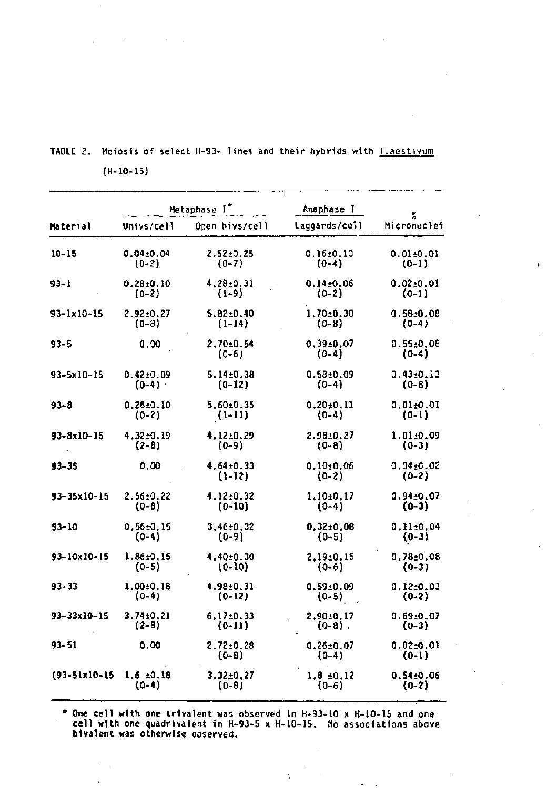|                            |                 | Metaphase I*                | Anaphase J                       | ×                          |
|----------------------------|-----------------|-----------------------------|----------------------------------|----------------------------|
| Material                   | Univs/cell      | Open bivs/cell              | Laggards/cell                    | Micronuclei                |
| $10 - 15$                  | $0.04 \pm 0.04$ | $2.52 \pm 0.25$             | $0.16 \pm 0.10$                  | $0.01 + 0.01$              |
|                            | $(0-2)$         | $(0-7)$                     | $(0-4)$                          | $(0-1)$                    |
| $93 - 1$                   | $0.28 + 0.10$   | 4.28±0.31                   | $0.14 \pm 0.06$                  | $0.02 \pm 0.01$            |
|                            | $(0-2)$         | $(1-9)$                     | $(0-2)$                          | $(0-1)$                    |
| $93 - 1 \times 10 - 15$    | $2.92 \pm 0.27$ | $5.82 \pm 0.40$             | $1.70 \pm 0.30$                  | $0.58 + 0.08$              |
|                            | $(0-8)$         | $(1-14)$                    | $(0-8)$                          | $(0-4)$                    |
| $93 - 5$                   | 0.00            | $2.70 \pm 0.54$<br>$(0-6)$  | $0.39 \pm 0.07$<br>$(0-4)$       | $0.55 \pm 0.08$<br>$(0-4)$ |
| $93 - 5 \times 10 - 15$    | $0.42 \pm 0.09$ | $5.14 \pm 0.38$             | $0.58 + 0.09$                    | $0.43 \pm 0.13$            |
|                            | $(0-4)$         | $(0-12)$                    | $(0-4)$                          | $(0-8)$                    |
| $93 - 8$                   | $0.28 + 0.10$   | 5.60±0.35                   | $0.20 + 0.11$                    | $0.01 + 0.01$              |
|                            | $(0-2)$         | $(1-11)$                    | $(0-4)$                          | $(0-1)$                    |
| 93-8x10-15                 | 4.32±0.19       | 4.12±0.29                   | $2.98 \pm 0.27$                  | $1.01 + 0.09$              |
|                            | $(2 - 8)$       | $(0-9)$                     | $(0-8)$                          | $(0-3)$                    |
| $93 - 35$                  | 0.00            | $4.64 \pm 0.33$<br>$(1-12)$ | 0.10 <sub>10.06</sub><br>$(0-2)$ | $0.04 \pm 0.02$<br>$(0-2)$ |
| 93-35×10-15                | $2.56 \pm 0.22$ | 4.12±0.32                   | 1.10 <sub>10.17</sub>            | $0.94 - 0.07$              |
|                            | $(0-8)$         | $(0-10)$                    | $(0-4)$                          | $(0-3)$                    |
| $93 - 10$                  | $0.56 \pm 0.15$ | $3.46 \pm 0.32$             | $0.32 \pm 0.08$                  | 0.11 <sub>10.04</sub>      |
|                            | $(0-4)$         | $(0-9)$                     | $(0-5)$                          | $(0-3)$                    |
| 93-10×10-15                | 1.86±0.15       | 4,40±0.30                   | 2.19±0.15                        | $0.78 - 0.08$              |
|                            | $(0-5)$         | $(0-10)$                    | $(0-6)$                          | $(0-3)$                    |
| $93 - 33$                  | $1.00 + 0.18$   | 4.98±0.31                   | 0.59±0.09                        | $0.12 - 0.03$              |
|                            | $(0-4)$         | $(0-12)$                    | $(0-5)$                          | $(0-2)$                    |
| 93-33x10-15                | 3.74±0.21       | 6,17±0.33                   | $2.90 \pm 0.17$                  | 0.69±0.07                  |
|                            | $(2-8)$         | $(0-11)$                    | $(0-8)$ .                        | $(0-3)$                    |
| $93 - 51$                  | 0.00            | $2.72 \pm 0.28$<br>$(0-8)$  | $0.26 \pm 0.07$<br>$(0-4)$       | $0.02 \pm 0.01$<br>$(0-1)$ |
| $(93 - 51 \times 10 - 15)$ | $1.6 \pm 0.18$  | $3.32 \pm 0.27$             | $1.8 \pm 0.12$                   | 0.54±0.06                  |
|                            | $(0-4)$         | $(0-8)$                     | $(0-6)$                          | $(0-2)$                    |

TABLE 2. Meiosis of select H-93- lines and their hybrids with T.agstivum **(H-10-15)** 

 $\bullet$ 

 $\sim 10^7$ 

\* **One** cel l with one trivalent was observed in H-93-10 x H-10-15 and one **cell with** one quadrivalent in H-93-5 x H-10-15. No associations abov< bivalent was otherwise observed.

Ŷ,

 $\sim$ 

ò,

 $\hat{\boldsymbol{\beta}}$  $\bar{1}$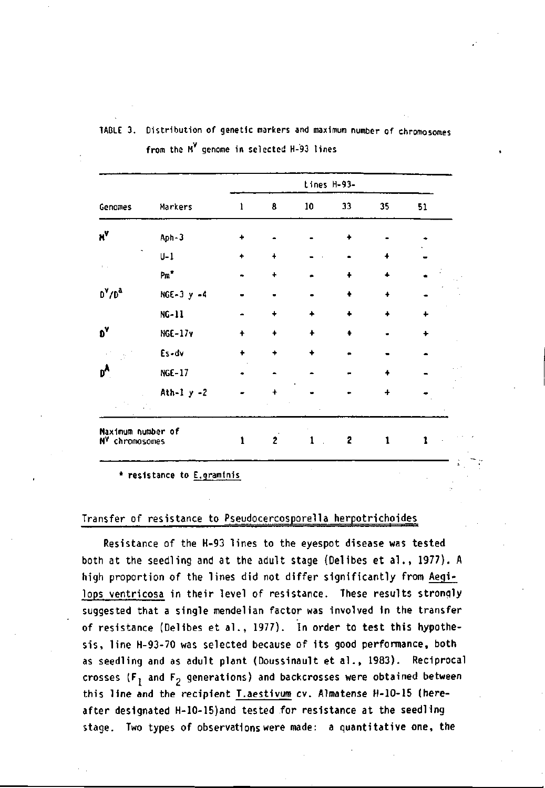|                                     |                |              |                |    | Lines H-93- |    |    |  |
|-------------------------------------|----------------|--------------|----------------|----|-------------|----|----|--|
| Genomes                             | Markers        | $\mathbf{1}$ | 8              | 10 | 33          | 35 | 51 |  |
| $M^V$                               | Aph-3          |              |                |    |             |    |    |  |
|                                     | $U - 1$        |              |                |    |             |    |    |  |
|                                     | $Pm^*$         |              |                |    |             |    |    |  |
| $D^V/D^A$                           | $NGE-3$ y $-4$ |              |                |    |             |    |    |  |
|                                     | $NG-11$        |              |                |    |             |    |    |  |
| D <sup>V</sup>                      | $NGE-17v$      |              |                |    |             |    |    |  |
|                                     | Es-dv          |              |                |    |             |    |    |  |
| D,                                  | <b>NGE-17</b>  |              |                |    |             |    |    |  |
|                                     | Ath-1 $y -2$   |              |                |    |             |    |    |  |
| Maximum number of<br>MY chromosomes |                | 1            | $\overline{c}$ | 1  | 2           | 1  |    |  |
|                                     |                |              |                |    |             |    |    |  |

**TABLE 3. Oistribution of genetic markers and máximum number of chromosomes v from the M genome in selected H-93 Unes** 

**\* resistance to E .grami nis** 

## **Transfer of resistance to Pseudocercosporella herpotrichoides**

**Resistance of the H-93 lines to the eyespot disease was tested both at the seedling and at the adult stage (Delibes et al., 1977). A high proportion of the lines did not differ significantly from Aegilops ventricosa in their level of resistance. These results stronqly suggested that a single mendelian factor was involved in the transfer of resistance (Delibes et al., 1977). In order to test this hypothesis, line H-93-70 was selected because of its good performance, both as seedling and as adult plant (Doussinault et al., 1983). Reciprocal crosses (F, and F^ generations) and backcrosses were obtained between this line and the recipient T.aestivum cv. Almatense H-10-15 (hereafter designated H-10-15)and tested for resistance at the seedling stage. Two types of observations were made: a quantitative one, the**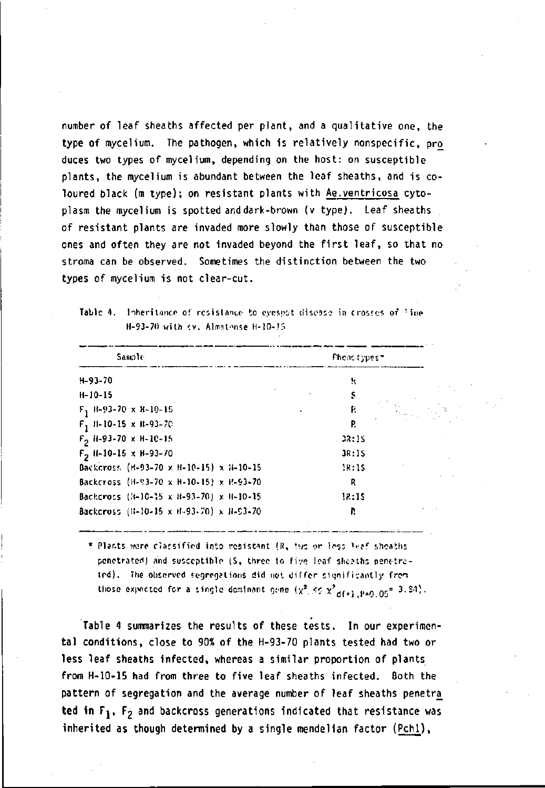number of leaf sheaths affected per plant, and a qualitative one, the type of mycelium. The pathogen, which is relatively nonspecific, pro duces two types of mycelium, depending on the host: on susceptible plants, the mycelium is abundant between the leaf sheaths, and is coloured black (m type); on resistant plants with Ae.ventricosa cytoplasm the mycelium is spotted and dark-brown (v type). Leaf sheaths of resistant plants are invaded more slowly than those of susceptible ones and often they are not invaded beyond the first leaf, so that no stroma can be observed. Sometimes the distinction between the two types of mycelium is not clear-cut.

| Table 4. Inheritance of resistance to eyespot disease in crosses of line |  |
|--------------------------------------------------------------------------|--|
| - H-93-70 with cv. Almatonse H-10-15 -                                   |  |

| Sample                                   | Phonotypes* |  |  |
|------------------------------------------|-------------|--|--|
| $H-93-70$                                | Ŷ.          |  |  |
| $H-10-15$                                | S           |  |  |
| $F_1$ H-93-70 x H-10-15 +                | f.          |  |  |
| $F_1$ 11-10-15 x 11-93-70                | P.          |  |  |
| $F_2$ H-93-70 x H-10-15                  | $-37:15$    |  |  |
| $F_2$ H-10-15 x H-93-70                  | 3R:1S       |  |  |
| Backcross (H-93-70 x H-10-15) x H-10-15  | 1R:1S       |  |  |
| Backcross (H-93-70 x H-10-15) x H-93-70  | R           |  |  |
| Backcross (8-10-15 x H-93-70) x H-10-15  | 18:15       |  |  |
| Backcross (II-10-15 x H-93-70) x H-53-70 | R           |  |  |

\* Plants were classified into resistant (R, two or less leaf sheaths penetrated) and susceptible (S, three to five leaf sheaths penetraied). The observed segregations did not differ significantly from those expected for a single deminant gene  $(x^2, \leq x^2, x^2)$  (exp. 05<sup>=</sup> 3.84).

Table 4 summarizes the results of these tests. In our experimental conditions, close to 90% of the H-93-70 plants tested had two or less leaf sheaths infected, whereas a similar proportion of plants from H-10-15 had from three to five leaf sheaths infected. Both the pattern of segregation and the average number of leaf sheaths penetra ted in  $F_1$ ,  $F_2$  and backcross generations indicated that resistance was inherited as though determined by a single mendelian factor (Pchl),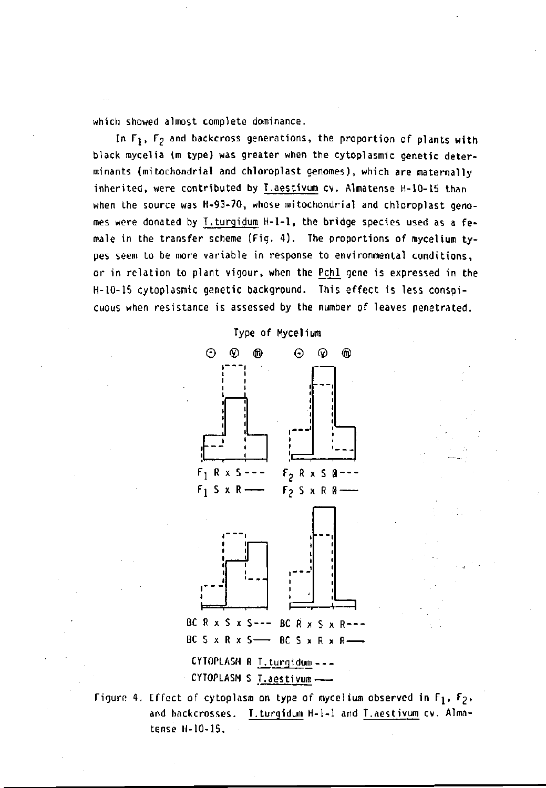**which showed almost complete dominance.** 

In F<sub>1</sub>, F<sub>2</sub> and backcross generations, the proportion of plants with **black mycelia (m type) was greater when the cytoplasmic genetic determinants (mitochondrial and chloroplast genomes), which are maternally inherited, were contributed by T.aestivum cv. Almatense H-10-15 than when the source was H-93-70, whose mitochondrial and chloroplast genomes were donated by T.turgidum H-l-1, the bridge species used as a female in the transfer scheme (Fig. 4) . The proportions of mycelium types seem to be more variable in response to environmental conditions, or in relation to plant vigour, when the Pchl gene is expressed in the H-10-15 cytoplasmic genetic background. This effect is less conspicuous when resistance is assessed by the number of leaves penetrated.** 



**CYTOPLASM R T.turgidum - - - CYTOPLASM S T.aestivum** 

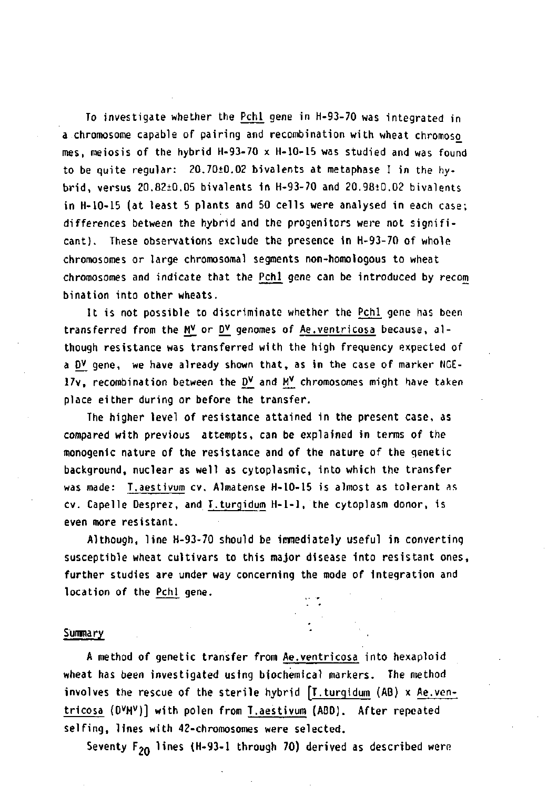**To investígate whether the Pchl gene in H-93-70 was integrated in a enromosome capable of pairing and recombination with wheat chromoso mes, meiosis of the hybrid H-93-70 x H-10-15 was studied and was found to be quite regular: 20.70±0.02 bivalents at metaphase I in the hybrid, versus 20.82+0.05 bivalents in H-93-70 and [20.98t0.02 b](http://20.98t0.02)ivalents in H-10-15 (at least 5 plants and 50 cells were analysed in each case; differences between the hybrid and the progenitors were not significant). These observations exelude the presence 1n H-93-70 of whole chromosomes or large chromosomal segments non-homologous to wheat chromosomes and indícate that the Pchl gene can be introduced by recom bination into other wheats.** 

**It is not possible to discrimínate whether the Pchl gene has been transferred from the My\_ or Dy\_ genomes of Ae.ventricosa because, although resistance was transferred with the high frequency expected of**  a D<sup>V</sup> gene, we have already shown that, as in the case of marker NGE-**17v, recombination between the Dy\_ and My\_ chromosomes might have taken place either during or before the transfer.** 

**The higher level of resistance attained in the present case, as compared with previous attempts, can be explained in terms of the monogenic nature of the resistance and of the nature of the genetic background, nuclear as well as cytoplasmic, into which the transfer was made: T.aestivum cv. Almatense H-10-15 is almost as tolerant as cv. Capelle Desprez, and T.turgidum H-l-1, the cytoplasm donor, is even more resistant.** 

**Although, line H-93-70 should be immediately useful in converting susceptible wheat cultivars to this major disease into resistant ones, further studies are under way concerning the mode of integration and location of the Pchl gene.** 

## Summary

**A method of genetic transfer from Ae.ventricosa into hexaploid wheat has been investigated uslng biochemical markers. The method involves the rescue of the sterile hybrid [T.turgidum (AD) x Ae.ventricosa (D<sup>V</sup>M <sup>V</sup>)] with polen from T.aestivum (ABDJ. After repcated selfing, Unes with 42-chromosomes were selected.** 

Seventy F<sub>20</sub> lines (H-93-1 through 70) derived as described were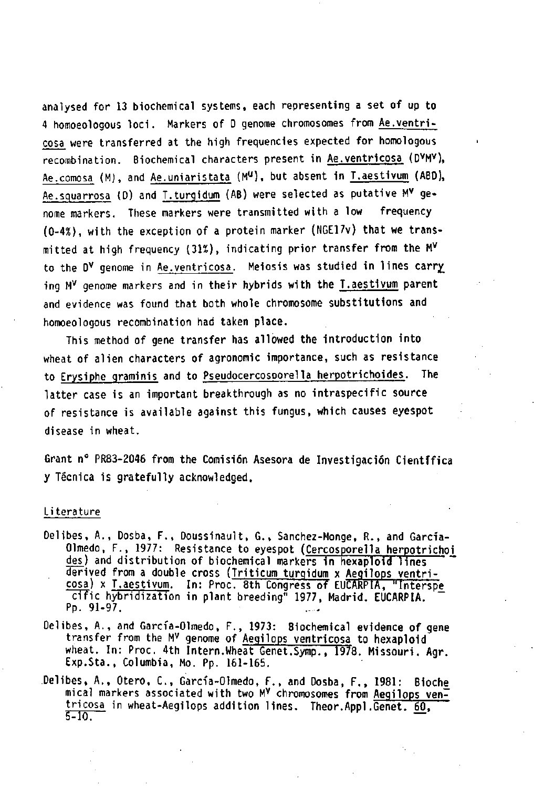**analysed for 13 biochemical systems, each representing a set of up to 4 homoeologous loci. Markers of D genome chromosomes from Ae.ventricosa were transferred at the high frequencies expected for homologous recombination. Biochemical characters present in Ae.ventricosa (D<sup>V</sup>M <sup>V</sup>), Ae.comosa (Mj, and Ae.uniaristata (M<sup>u</sup> ), but absent in T.aestivum (ABD), Ae.squarrosa (D) and T.turqidum (AB) were selected as putative M<sup>v</sup> genome markers. These markers were transmitted with a low frequency (0-4%), with the exception of a protein marker (NGE17v) that we transmitted at high frequency (31%), indicating prior transfer from the M<sup>v</sup> to the D<sup>v</sup> genome in Ae.ventricosa. Meiosis was studied in lines carry\_ ing M<sup>v</sup> genome markers and in their hybrids with the T.aestivum parent and evidence was found that both whole chromosome substitutions and homoeologous recombination had taken place.** 

**This method of gene transfer has allowed the introduction into wheat of alien characters of agronomic importance, such as resistance to Erysiphe graminis and to Pseudocercosporella herpotrichoides. The latter case is an important breakthrough as no intraspecific source of resistance is available against this fungus, which causes eyespot disease in wheat.** 

**Grant n° PR83-2046 from the Comisión Asesora de Investigación Científica y Técnica is gratefully acknowledged.** 

## **Literature**

- **Delibes, A., Dosba, F., Doussinault, G., Sanchez-Monge, R., and García-Olmedo, F., 1977: Resistance to eyespot (Cercosporella herpotrichoi des) and distribution of biochemical markers in hexaploid lines derived from a double cross (Triticum turgidum x Aegilops yentricosa) x T.aestivum. In: Proc. 8th Congress of EUCARPIA, "Interspe\_ cific hybridization in plant breeding" 1977, Madrid. EUCARPIA. Pp. 91-97.**
- **Delibes, A., and García-Olmedo, F., 1973: Biochemical evidence of gene transfer from the M<sup>v</sup> genome of Aegilops ventricosa to hexaploid wheat. In: Proc. 4th Intern.Wheat Genet.Symp., 1978. Missouri. Agr, Exp.Sta., Columbia, Mo. Pp. 161-165.**
- **Delibes, A., Otero, C , García-Olmedo, F., and Dosba, F., 1981: Bioche mi cal markers associated with two M<sup>v</sup> chromosomes from Aegilops ventricosa in wheat-Aegilops addition lines. Theor.Appl.Genet. 60, 5**-10.